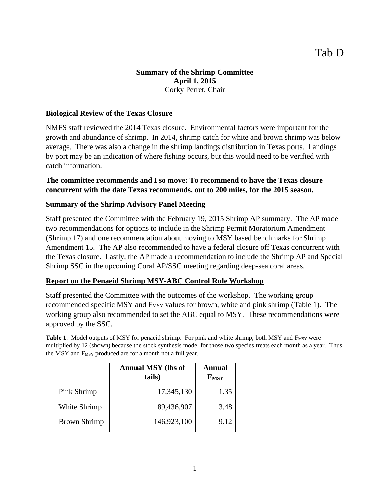## **Summary of the Shrimp Committee April 1, 2015**  Corky Perret, Chair

## **Biological Review of the Texas Closure**

NMFS staff reviewed the 2014 Texas closure. Environmental factors were important for the growth and abundance of shrimp. In 2014, shrimp catch for white and brown shrimp was below average. There was also a change in the shrimp landings distribution in Texas ports. Landings by port may be an indication of where fishing occurs, but this would need to be verified with catch information.

## **The committee recommends and I so move: To recommend to have the Texas closure concurrent with the date Texas recommends, out to 200 miles, for the 2015 season.**

## **Summary of the Shrimp Advisory Panel Meeting**

Staff presented the Committee with the February 19, 2015 Shrimp AP summary. The AP made two recommendations for options to include in the Shrimp Permit Moratorium Amendment (Shrimp 17) and one recommendation about moving to MSY based benchmarks for Shrimp Amendment 15. The AP also recommended to have a federal closure off Texas concurrent with the Texas closure. Lastly, the AP made a recommendation to include the Shrimp AP and Special Shrimp SSC in the upcoming Coral AP/SSC meeting regarding deep-sea coral areas.

#### **Report on the Penaeid Shrimp MSY-ABC Control Rule Workshop**

Staff presented the Committee with the outcomes of the workshop. The working group recommended specific MSY and F<sub>MSY</sub> values for brown, white and pink shrimp (Table 1). The working group also recommended to set the ABC equal to MSY. These recommendations were approved by the SSC.

**Table 1.** Model outputs of MSY for penaeid shrimp. For pink and white shrimp, both MSY and F<sub>MSY</sub> were multiplied by 12 (shown) because the stock synthesis model for those two species treats each month as a year. Thus, the MSY and F<sub>MSY</sub> produced are for a month not a full year.

|                     | <b>Annual MSY</b> (lbs of<br>tails) | Annual<br><b>FMSY</b> |
|---------------------|-------------------------------------|-----------------------|
| Pink Shrimp         | 17,345,130                          | 1.35                  |
| White Shrimp        | 89,436,907                          | 3.48                  |
| <b>Brown Shrimp</b> | 146,923,100                         | 9.12                  |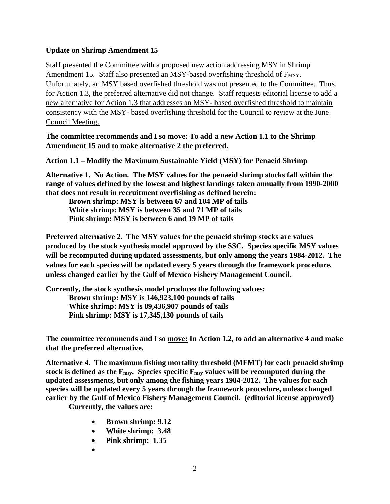## **Update on Shrimp Amendment 15**

Staff presented the Committee with a proposed new action addressing MSY in Shrimp Amendment 15. Staff also presented an MSY-based overfishing threshold of  $F_{MSY}$ . Unfortunately, an MSY based overfished threshold was not presented to the Committee. Thus, for Action 1.3, the preferred alternative did not change. Staff requests editorial license to add a new alternative for Action 1.3 that addresses an MSY- based overfished threshold to maintain consistency with the MSY- based overfishing threshold for the Council to review at the June Council Meeting.

**The committee recommends and I so move: To add a new Action 1.1 to the Shrimp Amendment 15 and to make alternative 2 the preferred.** 

**Action 1.1 – Modify the Maximum Sustainable Yield (MSY) for Penaeid Shrimp** 

**Alternative 1. No Action. The MSY values for the penaeid shrimp stocks fall within the range of values defined by the lowest and highest landings taken annually from 1990-2000 that does not result in recruitment overfishing as defined herein:** 

**Brown shrimp: MSY is between 67 and 104 MP of tails White shrimp: MSY is between 35 and 71 MP of tails Pink shrimp: MSY is between 6 and 19 MP of tails** 

**Preferred alternative 2. The MSY values for the penaeid shrimp stocks are values produced by the stock synthesis model approved by the SSC. Species specific MSY values will be recomputed during updated assessments, but only among the years 1984-2012. The values for each species will be updated every 5 years through the framework procedure, unless changed earlier by the Gulf of Mexico Fishery Management Council.** 

**Currently, the stock synthesis model produces the following values: Brown shrimp: MSY is 146,923,100 pounds of tails White shrimp: MSY is 89,436,907 pounds of tails Pink shrimp: MSY is 17,345,130 pounds of tails** 

**The committee recommends and I so move: In Action 1.2, to add an alternative 4 and make that the preferred alternative.** 

**Alternative 4. The maximum fishing mortality threshold (MFMT) for each penaeid shrimp**  stock is defined as the  $F_{\text{msy}}$ . Species specific  $F_{\text{msy}}$  values will be recomputed during the **updated assessments, but only among the fishing years 1984-2012. The values for each species will be updated every 5 years through the framework procedure, unless changed earlier by the Gulf of Mexico Fishery Management Council. (editorial license approved)** 

**Currently, the values are:** 

- **Brown shrimp: 9.12**
- **White shrimp: 3.48**
- **Pink shrimp: 1.35**
- $\bullet$